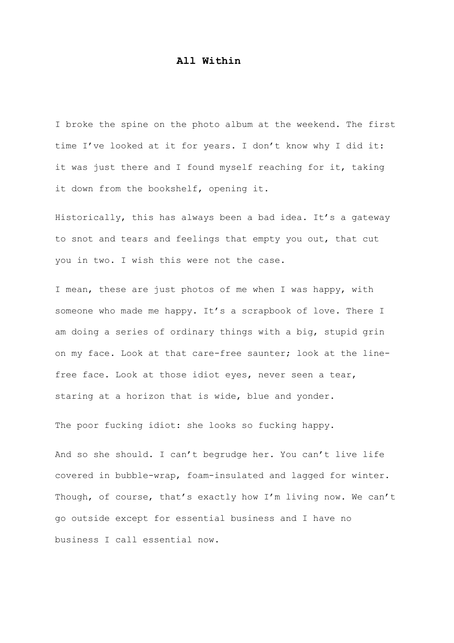## **All Within**

I broke the spine on the photo album at the weekend. The first time I've looked at it for years. I don't know why I did it: it was just there and I found myself reaching for it, taking it down from the bookshelf, opening it.

Historically, this has always been a bad idea. It's a gateway to snot and tears and feelings that empty you out, that cut you in two. I wish this were not the case.

I mean, these are just photos of me when I was happy, with someone who made me happy. It's a scrapbook of love. There I am doing a series of ordinary things with a big, stupid grin on my face. Look at that care-free saunter; look at the linefree face. Look at those idiot eyes, never seen a tear, staring at a horizon that is wide, blue and yonder.

The poor fucking idiot: she looks so fucking happy.

And so she should. I can't begrudge her. You can't live life covered in bubble-wrap, foam-insulated and lagged for winter. Though, of course, that's exactly how I'm living now. We can't go outside except for essential business and I have no business I call essential now.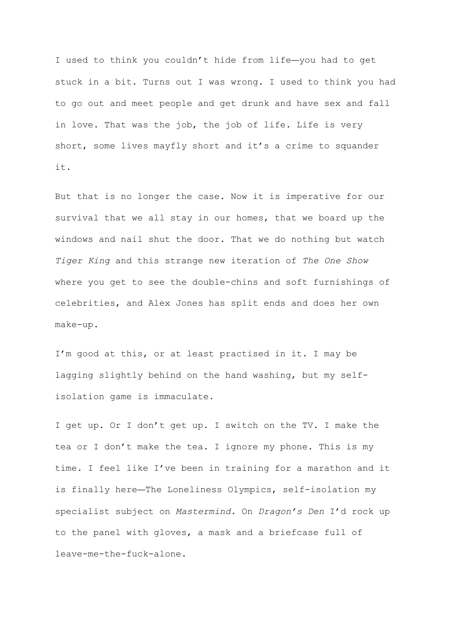I used to think you couldn't hide from life—you had to get stuck in a bit. Turns out I was wrong. I used to think you had to go out and meet people and get drunk and have sex and fall in love. That was the job, the job of life. Life is very short, some lives mayfly short and it's a crime to squander it.

But that is no longer the case. Now it is imperative for our survival that we all stay in our homes, that we board up the windows and nail shut the door. That we do nothing but watch *Tiger King* and this strange new iteration of *The One Show* where you get to see the double-chins and soft furnishings of celebrities, and Alex Jones has split ends and does her own make-up.

I'm good at this, or at least practised in it. I may be lagging slightly behind on the hand washing, but my selfisolation game is immaculate.

I get up. Or I don't get up. I switch on the TV. I make the tea or I don't make the tea. I ignore my phone. This is my time. I feel like I've been in training for a marathon and it is finally here—The Loneliness Olympics, self-isolation my specialist subject on *Mastermind*. On *Dragon's Den* I'd rock up to the panel with gloves, a mask and a briefcase full of leave-me-the-fuck-alone.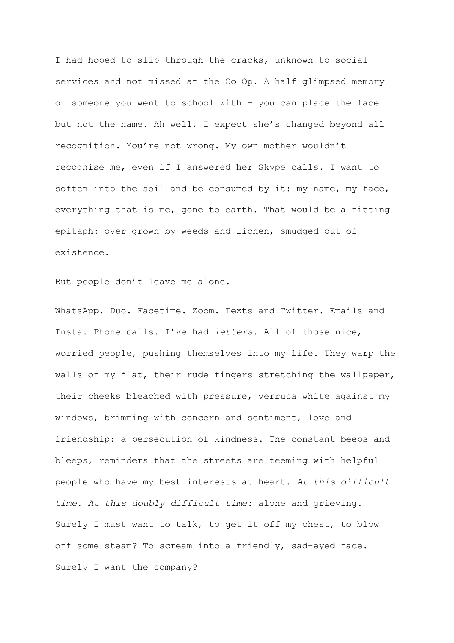I had hoped to slip through the cracks, unknown to social services and not missed at the Co Op. A half glimpsed memory of someone you went to school with - you can place the face but not the name. Ah well, I expect she's changed beyond all recognition. You're not wrong. My own mother wouldn't recognise me, even if I answered her Skype calls. I want to soften into the soil and be consumed by it: my name, my face, everything that is me, gone to earth. That would be a fitting epitaph: over-grown by weeds and lichen, smudged out of existence.

But people don't leave me alone.

WhatsApp. Duo. Facetime. Zoom. Texts and Twitter. Emails and Insta. Phone calls. I've had *letters*. All of those nice, worried people, pushing themselves into my life. They warp the walls of my flat, their rude fingers stretching the wallpaper, their cheeks bleached with pressure, verruca white against my windows, brimming with concern and sentiment, love and friendship: a persecution of kindness. The constant beeps and bleeps, reminders that the streets are teeming with helpful people who have my best interests at heart. *At this difficult time*. *At this doubly difficult time:* alone and grieving. Surely I must want to talk, to get it off my chest, to blow off some steam? To scream into a friendly, sad-eyed face. Surely I want the company?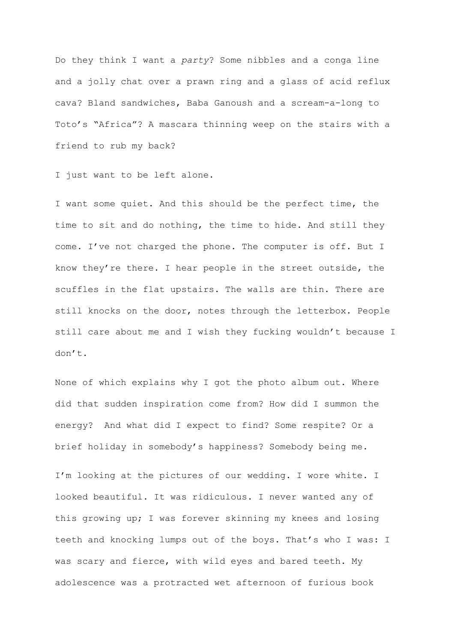Do they think I want a *party*? Some nibbles and a conga line and a jolly chat over a prawn ring and a glass of acid reflux cava? Bland sandwiches, Baba Ganoush and a scream-a-long to Toto's "Africa"? A mascara thinning weep on the stairs with a friend to rub my back?

I just want to be left alone.

I want some quiet. And this should be the perfect time, the time to sit and do nothing, the time to hide. And still they come. I've not charged the phone. The computer is off. But I know they're there. I hear people in the street outside, the scuffles in the flat upstairs. The walls are thin. There are still knocks on the door, notes through the letterbox. People still care about me and I wish they fucking wouldn't because I don't.

None of which explains why I got the photo album out. Where did that sudden inspiration come from? How did I summon the energy? And what did I expect to find? Some respite? Or a brief holiday in somebody's happiness? Somebody being me.

I'm looking at the pictures of our wedding. I wore white. I looked beautiful. It was ridiculous. I never wanted any of this growing up; I was forever skinning my knees and losing teeth and knocking lumps out of the boys. That's who I was: I was scary and fierce, with wild eyes and bared teeth. My adolescence was a protracted wet afternoon of furious book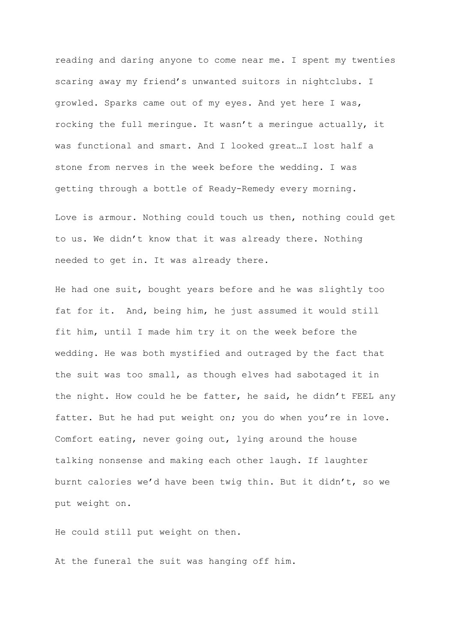reading and daring anyone to come near me. I spent my twenties scaring away my friend's unwanted suitors in nightclubs. I growled. Sparks came out of my eyes. And yet here I was, rocking the full meringue. It wasn't a meringue actually, it was functional and smart. And I looked great…I lost half a stone from nerves in the week before the wedding. I was getting through a bottle of Ready-Remedy every morning.

Love is armour. Nothing could touch us then, nothing could get to us. We didn't know that it was already there. Nothing needed to get in. It was already there.

He had one suit, bought years before and he was slightly too fat for it. And, being him, he just assumed it would still fit him, until I made him try it on the week before the wedding. He was both mystified and outraged by the fact that the suit was too small, as though elves had sabotaged it in the night. How could he be fatter, he said, he didn't FEEL any fatter. But he had put weight on; you do when you're in love. Comfort eating, never going out, lying around the house talking nonsense and making each other laugh. If laughter burnt calories we'd have been twig thin. But it didn't, so we put weight on.

He could still put weight on then.

At the funeral the suit was hanging off him.